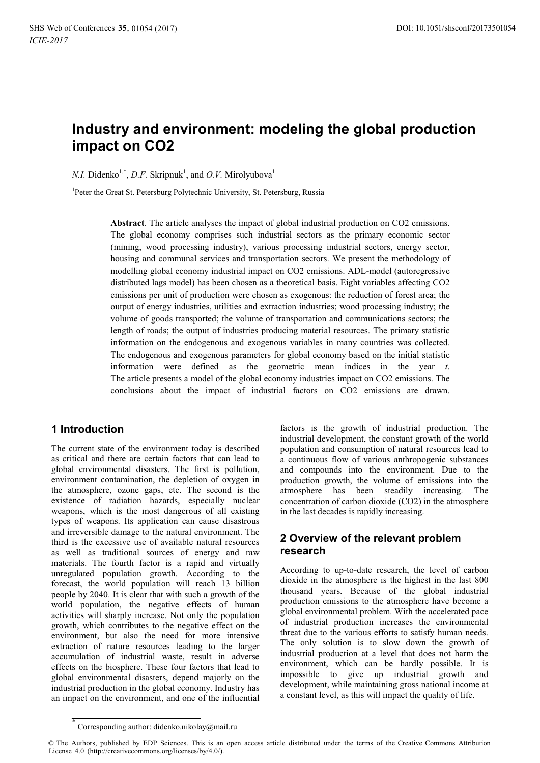# **Industry and environment: modeling the global production impact on CO2**

*N.I.* Didenko<sup>1,\*</sup>, *D.F.* Skripnuk<sup>1</sup>, and *O.V.* Mirolyubova<sup>1</sup>

<sup>1</sup>Peter the Great St. Petersburg Polytechnic University, St. Petersburg, Russia

**Abstract**. The article analyses the impact of global industrial production on CO2 emissions. The global economy comprises such industrial sectors as the primary economic sector (mining, wood processing industry), various processing industrial sectors, energy sector, housing and communal services and transportation sectors. We present the methodology of modelling global economy industrial impact on CO2 emissions. ADL-model (autoregressive distributed lags model) has been chosen as a theoretical basis. Eight variables affecting CO2 emissions per unit of production were chosen as exogenous: the reduction of forest area; the output of energy industries, utilities and extraction industries; wood processing industry; the volume of goods transported; the volume of transportation and communications sectors; the length of roads; the output of industries producing material resources. The primary statistic information on the endogenous and exogenous variables in many countries was collected. The endogenous and exogenous parameters for global economy based on the initial statistic information were defined as the geometric mean indices in the year *t*. The article presents a model of the global economy industries impact on CO2 emissions. The conclusions about the impact of industrial factors on CO2 emissions are drawn.

## **1 Introduction**

The current state of the environment today is described as critical and there are certain factors that can lead to global environmental disasters. The first is pollution, environment contamination, the depletion of oxygen in the atmosphere, ozone gaps, etc. The second is the existence of radiation hazards, especially nuclear weapons, which is the most dangerous of all existing types of weapons. Its application can cause disastrous and irreversible damage to the natural environment. The third is the excessive use of available natural resources as well as traditional sources of energy and raw materials. The fourth factor is a rapid and virtually unregulated population growth. According to the forecast, the world population will reach 13 billion people by 2040. It is clear that with such a growth of the world population, the negative effects of human activities will sharply increase. Not only the population growth, which contributes to the negative effect on the environment, but also the need for more intensive extraction of nature resources leading to the larger accumulation of industrial waste, result in adverse effects on the biosphere. These four factors that lead to global environmental disasters, depend majorly on the industrial production in the global economy. Industry has an impact on the environment, and one of the influential

factors is the growth of industrial production. The industrial development, the constant growth of the world population and consumption of natural resources lead to a continuous flow of various anthropogenic substances and compounds into the environment. Due to the production growth, the volume of emissions into the atmosphere has been steadily increasing. The concentration of carbon dioxide (CO2) in the atmosphere in the last decades is rapidly increasing.

# **2 Overview of the relevant problem research**

According to up-to-date research, the level of carbon dioxide in the atmosphere is the highest in the last 800 thousand years. Because of the global industrial production emissions to the atmosphere have become a global environmental problem. With the accelerated pace of industrial production increases the environmental threat due to the various efforts to satisfy human needs. The only solution is to slow down the growth of industrial production at a level that does not harm the environment, which can be hardly possible. It is impossible to give up industrial growth and development, while maintaining gross national income at a constant level, as this will impact the quality of life.

<sup>\*</sup> Corresponding author: didenko.nikolay@mail.ru

<sup>©</sup> The Authors, published by EDP Sciences. This is an open access article distributed under the terms of the Creative Commons Attribution License 4.0 (http://creativecommons.org/licenses/by/4.0/).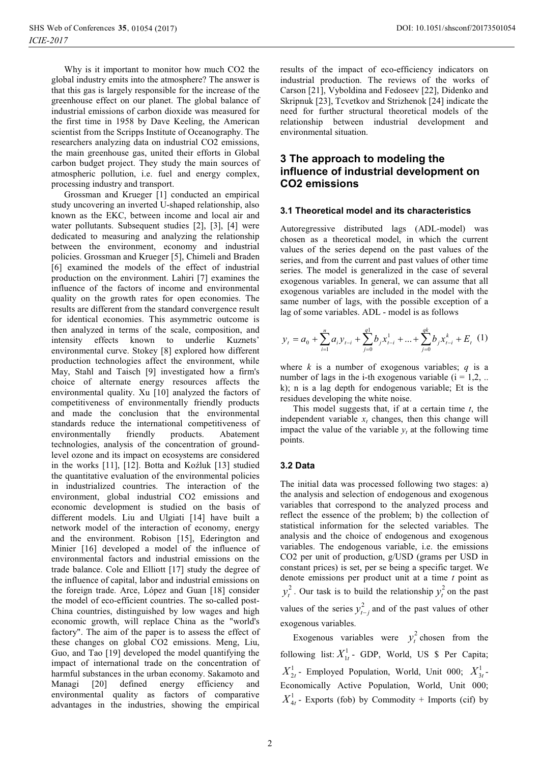Why is it important to monitor how much CO2 the global industry emits into the atmosphere? The answer is that this gas is largely responsible for the increase of the greenhouse effect on our planet. The global balance of industrial emissions of carbon dioxide was measured for the first time in 1958 by Dave Keeling, the American scientist from the Scripps Institute of Oceanography. The researchers analyzing data on industrial CO2 emissions, the main greenhouse gas, united their efforts in Global carbon budget project. They study the main sources of atmospheric pollution, i.e. fuel and energy complex, processing industry and transport.

Grossman and Krueger [1] conducted an empirical study uncovering an inverted U-shaped relationship, also known as the EKC, between income and local air and water pollutants. Subsequent studies [2], [3], [4] were dedicated to measuring and analyzing the relationship between the environment, economy and industrial policies. Grossman and Krueger [5], Chimeli and Braden [6] examined the models of the effect of industrial production on the environment. Lahiri [7] examines the influence of the factors of income and environmental quality on the growth rates for open economies. The results are different from the standard convergence result for identical economies. This asymmetric outcome is then analyzed in terms of the scale, composition, and intensity effects known to underlie Kuznets' environmental curve. Stokey [8] explored how different production technologies affect the environment, while May, Stahl and Taisch [9] investigated how a firm's choice of alternate energy resources affects the environmental quality. Xu [10] analyzed the factors of competitiveness of environmentally friendly products and made the conclusion that the environmental standards reduce the international competitiveness of environmentally friendly products. Abatement technologies, analysis of the concentration of groundlevel ozone and its impact on ecosystems are considered in the works [11], [12]. Botta and Koźluk [13] studied the quantitative evaluation of the environmental policies in industrialized countries. The interaction of the environment, global industrial CO2 emissions and economic development is studied on the basis of different models. Liu and Ulgiati [14] have built a network model of the interaction of economy, energy and the environment. Robison [15], Ederington and Minier [16] developed a model of the influence of environmental factors and industrial emissions on the trade balance. Cole and Elliott [17] study the degree of the influence of capital, labor and industrial emissions on the foreign trade. Arce, López and Guan [18] consider the model of eco-efficient countries. The so-called post-China countries, distinguished by low wages and high economic growth, will replace China as the "world's factory". The aim of the paper is to assess the effect of these changes on global CO2 emissions. Meng, Liu, Guo, and Tao [19] developed the model quantifying the impact of international trade on the concentration of harmful substances in the urban economy. Sakamoto and Managi [20] defined energy efficiency and environmental quality as factors of comparative advantages in the industries, showing the empirical

results of the impact of eco-efficiency indicators on industrial production. The reviews of the works of Carson [21], Vyboldina and Fedoseev [22], Didenko and Skripnuk [23], Tcvetkov and Strizhenok [24] indicate the need for further structural theoretical models of the relationship between industrial development and environmental situation.

# **3 The approach to modeling the influence of industrial development on CO2 emissions**

#### **3.1 Theoretical model and its characteristics**

Autoregressive distributed lags (ADL-model) was chosen as a theoretical model, in which the current values of the series depend on the past values of the series, and from the current and past values of other time series. The model is generalized in the case of several exogenous variables. In general, we can assume that all exogenous variables are included in the model with the same number of lags, with the possible exception of a lag of some variables. ADL - model is as follows

$$
y_{t} = a_{0} + \sum_{i=1}^{n} a_{i} y_{t-i} + \sum_{j=0}^{q} b_{j} x_{t-j}^{1} + \dots + \sum_{j=0}^{qk} b_{j} x_{t-j}^{k} + E_{t} (1)
$$

where  $k$  is a number of exogenous variables;  $q$  is a number of lags in the i-th exogenous variable  $(i = 1, 2, ...$ k); n is a lag depth for endogenous variable; Et is the residues developing the white noise.

This model suggests that, if at a certain time *t*, the independent variable  $x_t$  changes, then this change will impact the value of the variable  $y_t$  at the following time points.

#### **3.2 Data**

The initial data was processed following two stages: a) the analysis and selection of endogenous and exogenous variables that correspond to the analyzed process and reflect the essence of the problem; b) the collection of statistical information for the selected variables. The analysis and the choice of endogenous and exogenous variables. The endogenous variable, i.e. the emissions CO2 per unit of production, g/USD (grams per USD in constant prices) is set, per se being a specific target. We denote emissions per product unit at a time *t* point as  $y_t^2$ . Our task is to build the relationship  $y_t^2$  on the past values of the series  $y_{t-j}^2$  and of the past values of other exogenous variables.

Exogenous variables were  $y_t^2$  chosen from the following list:  $X_{1t}^1$  - GDP, World, US \$ Per Capita;  $X_{2t}^1$  - Employed Population, World, Unit 000;  $X_{3t}^1$ Economically Active Population, World, Unit 000;  $X_{4t}^1$  - Exports (fob) by Commodity + Imports (cif) by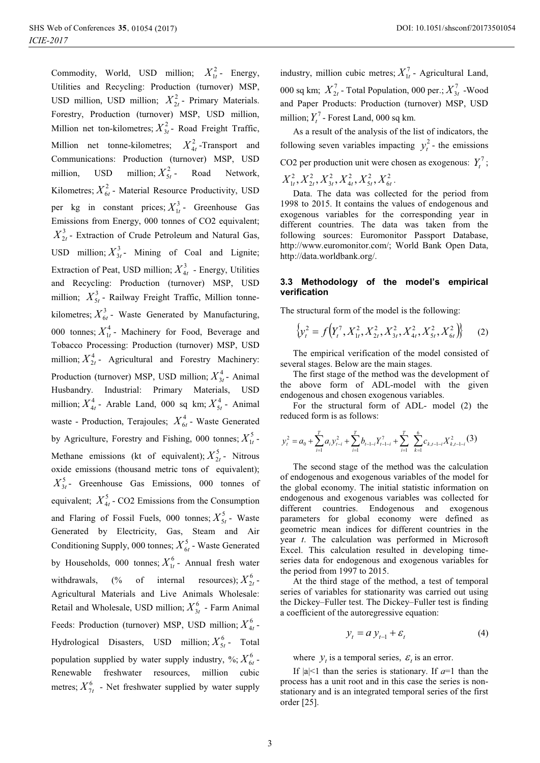Commodity, World, USD million;  $X_{1t}^2$ - Energy, Utilities and Recycling: Production (turnover) MSP, USD million, USD million;  $X_{2t}^2$  - Primary Materials. Forestry, Production (turnover) MSP, USD million, Million net ton-kilometres;  $X_{3t}^2$ - Road Freight Traffic, Million net tonne-kilometres;  $X_{4t}^2$ -Transport and Communications: Production (turnover) MSP, USD million, USD million;  $X_{5t}^2$  - Road Network, Kilometres;  $X_{6t}^2$  - Material Resource Productivity, USD per kg in constant prices;  $X_{1t}^{3}$  - Greenhouse Gas Emissions from Energy, 000 tonnes of CO2 equivalent;  $X_{2t}^3$  - Extraction of Crude Petroleum and Natural Gas, USD million;  $X_{3t}^3$ - Mining of Coal and Lignite; Extraction of Peat, USD million;  $X_{4t}^3$  - Energy, Utilities and Recycling: Production (turnover) MSP, USD million;  $X_{5t}^3$  - Railway Freight Traffic, Million tonnekilometres;  $X_{6t}^3$  - Waste Generated by Manufacturing, 000 tonnes;  $X_{1t}^4$  - Machinery for Food, Beverage and Tobacco Processing: Production (turnover) MSP, USD million;  $X_{2t}^4$  - Agricultural and Forestry Machinery: Production (turnover) MSP, USD million;  $X_{3t}^4$  - Animal Husbandry. Industrial: Primary Materials, USD million;  $X_{4t}^4$  - Arable Land, 000 sq km;  $X_{5t}^4$  - Animal waste - Production, Terajoules;  $X_{6t}^4$  - Waste Generated by Agriculture, Forestry and Fishing, 000 tonnes;  $X_{1t}^5$  -Methane emissions (kt of equivalent);  $X_{2t}^5$  - Nitrous oxide emissions (thousand metric tons of equivalent);  $X_{3t}^5$ - Greenhouse Gas Emissions, 000 tonnes of equivalent;  $X_{4t}^5$  - CO2 Emissions from the Consumption and Flaring of Fossil Fuels, 000 tonnes;  $X_{5t}^5$  - Waste Generated by Electricity, Gas, Steam and Air Conditioning Supply, 000 tonnes;  $X_{6t}^5$  - Waste Generated by Households, 000 tonnes;  $X_{1t}^6$  - Annual fresh water withdrawals,  $(^{9}6$  of internal resources);  $X_{2t}^{6}$ Agricultural Materials and Live Animals Wholesale: Retail and Wholesale, USD million;  $X_{3t}^6$  - Farm Animal Feeds: Production (turnover) MSP, USD million;  $X_{4t}^{6}$  -Hydrological Disasters, USD million;  $X_{5t}^6$  - Total population supplied by water supply industry, %;  $X_{6t}^{6}$  -Renewable freshwater resources, million cubic metres;  $X_{7t}^{6}$  - Net freshwater supplied by water supply

industry, million cubic metres;  $X_{1t}^7$  - Agricultural Land, 000 sq km;  $X_{2t}^7$  - Total Population, 000 per.;  $X_{3t}^7$  -Wood and Paper Products: Production (turnover) MSP, USD million;  $Y_t^7$  - Forest Land, 000 sq km.

As a result of the analysis of the list of indicators, the following seven variables impacting  $y_t^2$  - the emissions CO2 per production unit were chosen as exogenous:  $Y_t^7$ ; 2 6 2 5 2 4 2 3 2 2  $X_{1t}^2, X_{2t}^2, X_{3t}^2, X_{4t}^2, X_{5t}^2, X_{6t}^2$ .

Data. The data was collected for the period from 1998 to 2015. It contains the values of endogenous and exogenous variables for the corresponding year in different countries. The data was taken from the following sources: Euromonitor Passport Database, http://www.euromonitor.com/; World Bank Open Data, http://data.worldbank.org/.

#### **3.3 Methodology of the model's empirical verification**

The structural form of the model is the following:

$$
\left\{ y_t^2 = f\left( Y_t^7, X_{1t}^2, X_{2t}^2, X_{3t}^2, X_{4t}^2, X_{5t}^2, X_{6t}^2 \right) \right\} \tag{2}
$$

The empirical verification of the model consisted of several stages. Below are the main stages.

The first stage of the method was the development of the above form of ADL-model with the given endogenous and chosen exogenous variables.

For the structural form of ADL- model (2) the reduced form is as follows:

$$
y_t^2 = a_0 + \sum_{i=1}^T a_i y_{t-i}^2 + \sum_{i=1}^T b_{t-1-i} Y_{t-1-i}^7 + \sum_{i=1}^T \sum_{k=1}^6 c_{k,t-1-i} X_{k,t-1-i}^2 (3)
$$

The second stage of the method was the calculation of endogenous and exogenous variables of the model for the global economy. The initial statistic information on endogenous and exogenous variables was collected for different countries. Endogenous and exogenous parameters for global economy were defined as geometric mean indices for different countries in the year *t*. The calculation was performed in Microsoft Excel. This calculation resulted in developing timeseries data for endogenous and exogenous variables for the period from 1997 to 2015.

At the third stage of the method, a test of temporal series of variables for stationarity was carried out using the Dickey–Fuller test. The Dickey–Fuller test is finding a coefficient of the autoregressive equation:

$$
y_t = a y_{t-1} + \varepsilon_t \tag{4}
$$

where  $y_t$  is a temporal series,  $\varepsilon_t$  is an error.

If  $|a|<1$  than the series is stationary. If  $a=1$  than the process has a unit root and in this case the series is nonstationary and is an integrated temporal series of the first order [25].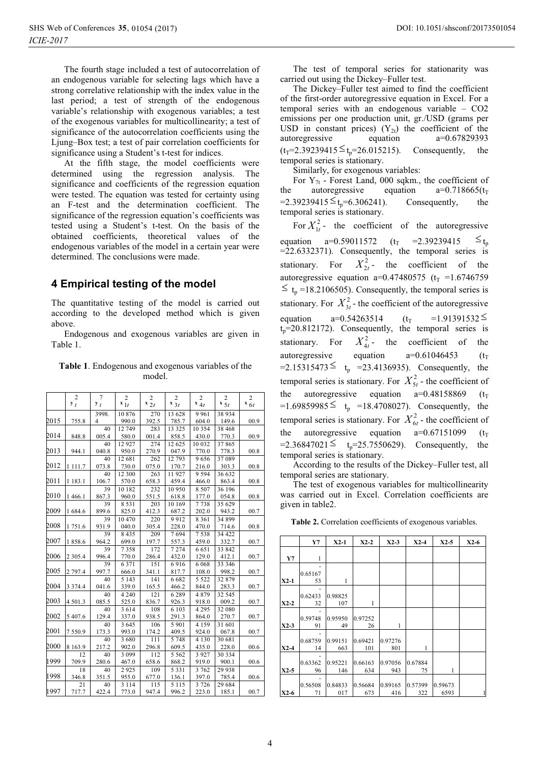The fourth stage included a test of autocorrelation of an endogenous variable for selecting lags which have a strong correlative relationship with the index value in the last period; a test of strength of the endogenous variable's relationship with exogenous variables; a test of the exogenous variables for multicollinearity; a test of significance of the autocorrelation coefficients using the Ljung–Box test; a test of pair correlation coefficients for significance using a Student's t-test for indices.

At the fifth stage, the model coefficients were determined using the regression analysis. The significance and coefficients of the regression equation were tested. The equation was tested for certainty using an F-test and the determination coefficient. The significance of the regression equation's coefficients was tested using a Student's t-test. On the basis of the obtained coefficients, theoretical values of the endogenous variables of the model in a certain year were determined. The conclusions were made.

## **4 Empirical testing of the model**

The quantitative testing of the model is carried out according to the developed method which is given above.

Endogenous and exogenous variables are given in Table 1.

#### **Table 1**. Endogenous and exogenous variables of the model.

| $y_t$<br>$x_{6t}$<br>$y_t$<br>$\mathbf{x}_{1t}$<br>$x_{2t}$<br>$\frac{x}{3t}$<br>$x_{4t}$<br>$x_{5t}$<br>3998.<br>10876<br>13 628<br>9 9 6 1<br>38 934<br>270<br>2015<br>755.8<br>990.0<br>392.5<br>785.7<br>604.0<br>149.6<br>00.9<br>4<br>40<br>12 749<br>13 3 25<br>10 354<br>38 468<br>283<br>2014<br>848.8<br>005.4<br>580.0<br>001.4<br>858.5<br>430.0<br>770.3<br>00.9<br>40<br>12 9 27<br>274<br>37865<br>12 625<br>10 032<br>2013<br>944.1<br>040.8<br>950.0<br>270.9<br>047.9<br>770.0<br>778.3<br>00.8<br>9656<br>40<br>12 681<br>262<br>12 793<br>37 089<br>2012<br>730.0<br>075.0<br>1 1 1 1 . 7<br>073.8<br>170.7<br>216.0<br>303.3<br>00.8<br>40<br>12 300<br>263<br>11 927<br>9 5 9 4<br>36 632<br>2011<br>1 183.1<br>570.0<br>658.3<br>459.4<br>466.0<br>863.4<br>106.7<br>00.8<br>39<br>8 5 0 7<br>10 182<br>232<br>10 950<br>36 196<br>2010<br>1 466.1<br>867.3<br>960.0<br>551.5<br>618.8<br>177.0<br>054.8<br>00.8<br>7738<br>39<br>8531<br>203<br>10 169<br>35 629<br>2009<br>202.0<br>1 684.6<br>899.6<br>825.0<br>412.3<br>687.2<br>943.2<br>00.7<br>39<br>10 470<br>220<br>9912<br>8 3 6 1<br>34 899<br>2008<br>470.0<br>040.0<br>305.4<br>228.0<br>714.6<br>1751.6<br>931.9<br>00.8<br>39<br>8435<br>7694<br>7538<br>34 422<br>209<br>2007<br>1858.6<br>964.2<br>699.0<br>197.7<br>557.3<br>459.0<br>332.7<br>00.7<br>39<br>7 2 7 4<br>6 6 5 1<br>33 842<br>7358<br>172<br>2006<br>2 3 0 5 .4<br>996.4<br>286.4<br>432.0<br>129.0<br>412.1<br>770.0<br>00.7<br>151<br>33 346<br>39<br>6 3 7 1<br>6916<br>6 0 6 8<br>2005<br>2 797.4<br>666.0<br>108.0<br>998.2<br>997.7<br>341.1<br>817.7<br>00.7<br>5 5 2 2<br>40<br>5 1 4 3<br>141<br>6 6 8 2<br>32 879<br>2004<br>3 3 7 4 . 4<br>041.6<br>339.0<br>165.5<br>466.2<br>844.0<br>283.3<br>00.7<br>4879<br>40<br>4 2 4 0<br>121<br>6 2 8 9<br>32 545<br>2003<br>085.5<br>525.0<br>4 501.3<br>836.7<br>926.3<br>918.0<br>009.2<br>00.7<br>4 2 9 5<br>32 080<br>40<br>3614<br>108<br>6 103<br>2002<br>5 407.6<br>129.4<br>337.0<br>938.5<br>291.3<br>864.0<br>270.7<br>00.7<br>4 1 5 9<br>3 6 4 5<br>5 9 0 1<br>31 601<br>40<br>106<br>2001<br>993.0<br>409.5<br>924.0<br>7550.9<br>173.3<br>174.2<br>067.8<br>00.7<br>40<br>3680<br>111<br>5 7 4 8<br>4 1 3 0<br>30 681<br>2000<br>902.0<br>296.8<br>609.5<br>435.0<br>228.0<br>8 1 6 3 . 9<br>217.2<br>00.6<br>40<br>3 9 2 7<br>12<br>3 0 9 9<br>112<br>5 5 6 2<br>30 334<br>1999<br>709.9<br>658.6<br>868.2<br>919.0<br>280.6<br>467.0<br>900.1<br>00.6<br>2925<br>3 7 6 2<br>29 9 38<br>18<br>40<br>109<br>5 3 3 1<br>1998<br>397.0<br>785.4<br>351.5<br>955.0<br>677.0<br>136.1<br>346.8<br>00.6 | $\overline{c}$ | $\overline{7}$ |                |     |         |         |                |                |
|------------------------------------------------------------------------------------------------------------------------------------------------------------------------------------------------------------------------------------------------------------------------------------------------------------------------------------------------------------------------------------------------------------------------------------------------------------------------------------------------------------------------------------------------------------------------------------------------------------------------------------------------------------------------------------------------------------------------------------------------------------------------------------------------------------------------------------------------------------------------------------------------------------------------------------------------------------------------------------------------------------------------------------------------------------------------------------------------------------------------------------------------------------------------------------------------------------------------------------------------------------------------------------------------------------------------------------------------------------------------------------------------------------------------------------------------------------------------------------------------------------------------------------------------------------------------------------------------------------------------------------------------------------------------------------------------------------------------------------------------------------------------------------------------------------------------------------------------------------------------------------------------------------------------------------------------------------------------------------------------------------------------------------------------------------------------------------------------------------------------------------------------------------------------------------------------------------------------------------------------------------------------------------------------------------------------------------------------------------------------------------------------------------------------------------------------------------------------------------------------------------------------------------------------------------------------------------------------------------------------------|----------------|----------------|----------------|-----|---------|---------|----------------|----------------|
|                                                                                                                                                                                                                                                                                                                                                                                                                                                                                                                                                                                                                                                                                                                                                                                                                                                                                                                                                                                                                                                                                                                                                                                                                                                                                                                                                                                                                                                                                                                                                                                                                                                                                                                                                                                                                                                                                                                                                                                                                                                                                                                                                                                                                                                                                                                                                                                                                                                                                                                                                                                                                              |                |                | $\overline{2}$ | 2   | 2       | 2       | $\overline{c}$ | $\overline{c}$ |
|                                                                                                                                                                                                                                                                                                                                                                                                                                                                                                                                                                                                                                                                                                                                                                                                                                                                                                                                                                                                                                                                                                                                                                                                                                                                                                                                                                                                                                                                                                                                                                                                                                                                                                                                                                                                                                                                                                                                                                                                                                                                                                                                                                                                                                                                                                                                                                                                                                                                                                                                                                                                                              |                |                |                |     |         |         |                |                |
|                                                                                                                                                                                                                                                                                                                                                                                                                                                                                                                                                                                                                                                                                                                                                                                                                                                                                                                                                                                                                                                                                                                                                                                                                                                                                                                                                                                                                                                                                                                                                                                                                                                                                                                                                                                                                                                                                                                                                                                                                                                                                                                                                                                                                                                                                                                                                                                                                                                                                                                                                                                                                              |                |                |                |     |         |         |                |                |
|                                                                                                                                                                                                                                                                                                                                                                                                                                                                                                                                                                                                                                                                                                                                                                                                                                                                                                                                                                                                                                                                                                                                                                                                                                                                                                                                                                                                                                                                                                                                                                                                                                                                                                                                                                                                                                                                                                                                                                                                                                                                                                                                                                                                                                                                                                                                                                                                                                                                                                                                                                                                                              |                |                |                |     |         |         |                |                |
|                                                                                                                                                                                                                                                                                                                                                                                                                                                                                                                                                                                                                                                                                                                                                                                                                                                                                                                                                                                                                                                                                                                                                                                                                                                                                                                                                                                                                                                                                                                                                                                                                                                                                                                                                                                                                                                                                                                                                                                                                                                                                                                                                                                                                                                                                                                                                                                                                                                                                                                                                                                                                              |                |                |                |     |         |         |                |                |
|                                                                                                                                                                                                                                                                                                                                                                                                                                                                                                                                                                                                                                                                                                                                                                                                                                                                                                                                                                                                                                                                                                                                                                                                                                                                                                                                                                                                                                                                                                                                                                                                                                                                                                                                                                                                                                                                                                                                                                                                                                                                                                                                                                                                                                                                                                                                                                                                                                                                                                                                                                                                                              |                |                |                |     |         |         |                |                |
|                                                                                                                                                                                                                                                                                                                                                                                                                                                                                                                                                                                                                                                                                                                                                                                                                                                                                                                                                                                                                                                                                                                                                                                                                                                                                                                                                                                                                                                                                                                                                                                                                                                                                                                                                                                                                                                                                                                                                                                                                                                                                                                                                                                                                                                                                                                                                                                                                                                                                                                                                                                                                              |                |                |                |     |         |         |                |                |
|                                                                                                                                                                                                                                                                                                                                                                                                                                                                                                                                                                                                                                                                                                                                                                                                                                                                                                                                                                                                                                                                                                                                                                                                                                                                                                                                                                                                                                                                                                                                                                                                                                                                                                                                                                                                                                                                                                                                                                                                                                                                                                                                                                                                                                                                                                                                                                                                                                                                                                                                                                                                                              |                |                |                |     |         |         |                |                |
|                                                                                                                                                                                                                                                                                                                                                                                                                                                                                                                                                                                                                                                                                                                                                                                                                                                                                                                                                                                                                                                                                                                                                                                                                                                                                                                                                                                                                                                                                                                                                                                                                                                                                                                                                                                                                                                                                                                                                                                                                                                                                                                                                                                                                                                                                                                                                                                                                                                                                                                                                                                                                              |                |                |                |     |         |         |                |                |
|                                                                                                                                                                                                                                                                                                                                                                                                                                                                                                                                                                                                                                                                                                                                                                                                                                                                                                                                                                                                                                                                                                                                                                                                                                                                                                                                                                                                                                                                                                                                                                                                                                                                                                                                                                                                                                                                                                                                                                                                                                                                                                                                                                                                                                                                                                                                                                                                                                                                                                                                                                                                                              |                |                |                |     |         |         |                |                |
|                                                                                                                                                                                                                                                                                                                                                                                                                                                                                                                                                                                                                                                                                                                                                                                                                                                                                                                                                                                                                                                                                                                                                                                                                                                                                                                                                                                                                                                                                                                                                                                                                                                                                                                                                                                                                                                                                                                                                                                                                                                                                                                                                                                                                                                                                                                                                                                                                                                                                                                                                                                                                              |                |                |                |     |         |         |                |                |
|                                                                                                                                                                                                                                                                                                                                                                                                                                                                                                                                                                                                                                                                                                                                                                                                                                                                                                                                                                                                                                                                                                                                                                                                                                                                                                                                                                                                                                                                                                                                                                                                                                                                                                                                                                                                                                                                                                                                                                                                                                                                                                                                                                                                                                                                                                                                                                                                                                                                                                                                                                                                                              |                |                |                |     |         |         |                |                |
|                                                                                                                                                                                                                                                                                                                                                                                                                                                                                                                                                                                                                                                                                                                                                                                                                                                                                                                                                                                                                                                                                                                                                                                                                                                                                                                                                                                                                                                                                                                                                                                                                                                                                                                                                                                                                                                                                                                                                                                                                                                                                                                                                                                                                                                                                                                                                                                                                                                                                                                                                                                                                              |                |                |                |     |         |         |                |                |
|                                                                                                                                                                                                                                                                                                                                                                                                                                                                                                                                                                                                                                                                                                                                                                                                                                                                                                                                                                                                                                                                                                                                                                                                                                                                                                                                                                                                                                                                                                                                                                                                                                                                                                                                                                                                                                                                                                                                                                                                                                                                                                                                                                                                                                                                                                                                                                                                                                                                                                                                                                                                                              |                |                |                |     |         |         |                |                |
|                                                                                                                                                                                                                                                                                                                                                                                                                                                                                                                                                                                                                                                                                                                                                                                                                                                                                                                                                                                                                                                                                                                                                                                                                                                                                                                                                                                                                                                                                                                                                                                                                                                                                                                                                                                                                                                                                                                                                                                                                                                                                                                                                                                                                                                                                                                                                                                                                                                                                                                                                                                                                              |                |                |                |     |         |         |                |                |
|                                                                                                                                                                                                                                                                                                                                                                                                                                                                                                                                                                                                                                                                                                                                                                                                                                                                                                                                                                                                                                                                                                                                                                                                                                                                                                                                                                                                                                                                                                                                                                                                                                                                                                                                                                                                                                                                                                                                                                                                                                                                                                                                                                                                                                                                                                                                                                                                                                                                                                                                                                                                                              |                |                |                |     |         |         |                |                |
|                                                                                                                                                                                                                                                                                                                                                                                                                                                                                                                                                                                                                                                                                                                                                                                                                                                                                                                                                                                                                                                                                                                                                                                                                                                                                                                                                                                                                                                                                                                                                                                                                                                                                                                                                                                                                                                                                                                                                                                                                                                                                                                                                                                                                                                                                                                                                                                                                                                                                                                                                                                                                              |                |                |                |     |         |         |                |                |
|                                                                                                                                                                                                                                                                                                                                                                                                                                                                                                                                                                                                                                                                                                                                                                                                                                                                                                                                                                                                                                                                                                                                                                                                                                                                                                                                                                                                                                                                                                                                                                                                                                                                                                                                                                                                                                                                                                                                                                                                                                                                                                                                                                                                                                                                                                                                                                                                                                                                                                                                                                                                                              |                |                |                |     |         |         |                |                |
|                                                                                                                                                                                                                                                                                                                                                                                                                                                                                                                                                                                                                                                                                                                                                                                                                                                                                                                                                                                                                                                                                                                                                                                                                                                                                                                                                                                                                                                                                                                                                                                                                                                                                                                                                                                                                                                                                                                                                                                                                                                                                                                                                                                                                                                                                                                                                                                                                                                                                                                                                                                                                              |                |                |                |     |         |         |                |                |
|                                                                                                                                                                                                                                                                                                                                                                                                                                                                                                                                                                                                                                                                                                                                                                                                                                                                                                                                                                                                                                                                                                                                                                                                                                                                                                                                                                                                                                                                                                                                                                                                                                                                                                                                                                                                                                                                                                                                                                                                                                                                                                                                                                                                                                                                                                                                                                                                                                                                                                                                                                                                                              |                |                |                |     |         |         |                |                |
|                                                                                                                                                                                                                                                                                                                                                                                                                                                                                                                                                                                                                                                                                                                                                                                                                                                                                                                                                                                                                                                                                                                                                                                                                                                                                                                                                                                                                                                                                                                                                                                                                                                                                                                                                                                                                                                                                                                                                                                                                                                                                                                                                                                                                                                                                                                                                                                                                                                                                                                                                                                                                              |                |                |                |     |         |         |                |                |
|                                                                                                                                                                                                                                                                                                                                                                                                                                                                                                                                                                                                                                                                                                                                                                                                                                                                                                                                                                                                                                                                                                                                                                                                                                                                                                                                                                                                                                                                                                                                                                                                                                                                                                                                                                                                                                                                                                                                                                                                                                                                                                                                                                                                                                                                                                                                                                                                                                                                                                                                                                                                                              |                |                |                |     |         |         |                |                |
|                                                                                                                                                                                                                                                                                                                                                                                                                                                                                                                                                                                                                                                                                                                                                                                                                                                                                                                                                                                                                                                                                                                                                                                                                                                                                                                                                                                                                                                                                                                                                                                                                                                                                                                                                                                                                                                                                                                                                                                                                                                                                                                                                                                                                                                                                                                                                                                                                                                                                                                                                                                                                              |                |                |                |     |         |         |                |                |
|                                                                                                                                                                                                                                                                                                                                                                                                                                                                                                                                                                                                                                                                                                                                                                                                                                                                                                                                                                                                                                                                                                                                                                                                                                                                                                                                                                                                                                                                                                                                                                                                                                                                                                                                                                                                                                                                                                                                                                                                                                                                                                                                                                                                                                                                                                                                                                                                                                                                                                                                                                                                                              |                |                |                |     |         |         |                |                |
|                                                                                                                                                                                                                                                                                                                                                                                                                                                                                                                                                                                                                                                                                                                                                                                                                                                                                                                                                                                                                                                                                                                                                                                                                                                                                                                                                                                                                                                                                                                                                                                                                                                                                                                                                                                                                                                                                                                                                                                                                                                                                                                                                                                                                                                                                                                                                                                                                                                                                                                                                                                                                              |                |                |                |     |         |         |                |                |
|                                                                                                                                                                                                                                                                                                                                                                                                                                                                                                                                                                                                                                                                                                                                                                                                                                                                                                                                                                                                                                                                                                                                                                                                                                                                                                                                                                                                                                                                                                                                                                                                                                                                                                                                                                                                                                                                                                                                                                                                                                                                                                                                                                                                                                                                                                                                                                                                                                                                                                                                                                                                                              |                |                |                |     |         |         |                |                |
|                                                                                                                                                                                                                                                                                                                                                                                                                                                                                                                                                                                                                                                                                                                                                                                                                                                                                                                                                                                                                                                                                                                                                                                                                                                                                                                                                                                                                                                                                                                                                                                                                                                                                                                                                                                                                                                                                                                                                                                                                                                                                                                                                                                                                                                                                                                                                                                                                                                                                                                                                                                                                              |                |                |                |     |         |         |                |                |
|                                                                                                                                                                                                                                                                                                                                                                                                                                                                                                                                                                                                                                                                                                                                                                                                                                                                                                                                                                                                                                                                                                                                                                                                                                                                                                                                                                                                                                                                                                                                                                                                                                                                                                                                                                                                                                                                                                                                                                                                                                                                                                                                                                                                                                                                                                                                                                                                                                                                                                                                                                                                                              |                |                |                |     |         |         |                |                |
|                                                                                                                                                                                                                                                                                                                                                                                                                                                                                                                                                                                                                                                                                                                                                                                                                                                                                                                                                                                                                                                                                                                                                                                                                                                                                                                                                                                                                                                                                                                                                                                                                                                                                                                                                                                                                                                                                                                                                                                                                                                                                                                                                                                                                                                                                                                                                                                                                                                                                                                                                                                                                              |                |                |                |     |         |         |                |                |
|                                                                                                                                                                                                                                                                                                                                                                                                                                                                                                                                                                                                                                                                                                                                                                                                                                                                                                                                                                                                                                                                                                                                                                                                                                                                                                                                                                                                                                                                                                                                                                                                                                                                                                                                                                                                                                                                                                                                                                                                                                                                                                                                                                                                                                                                                                                                                                                                                                                                                                                                                                                                                              |                |                |                |     |         |         |                |                |
|                                                                                                                                                                                                                                                                                                                                                                                                                                                                                                                                                                                                                                                                                                                                                                                                                                                                                                                                                                                                                                                                                                                                                                                                                                                                                                                                                                                                                                                                                                                                                                                                                                                                                                                                                                                                                                                                                                                                                                                                                                                                                                                                                                                                                                                                                                                                                                                                                                                                                                                                                                                                                              |                |                |                |     |         |         |                |                |
|                                                                                                                                                                                                                                                                                                                                                                                                                                                                                                                                                                                                                                                                                                                                                                                                                                                                                                                                                                                                                                                                                                                                                                                                                                                                                                                                                                                                                                                                                                                                                                                                                                                                                                                                                                                                                                                                                                                                                                                                                                                                                                                                                                                                                                                                                                                                                                                                                                                                                                                                                                                                                              |                |                |                |     |         |         |                |                |
|                                                                                                                                                                                                                                                                                                                                                                                                                                                                                                                                                                                                                                                                                                                                                                                                                                                                                                                                                                                                                                                                                                                                                                                                                                                                                                                                                                                                                                                                                                                                                                                                                                                                                                                                                                                                                                                                                                                                                                                                                                                                                                                                                                                                                                                                                                                                                                                                                                                                                                                                                                                                                              |                |                |                |     |         |         |                |                |
|                                                                                                                                                                                                                                                                                                                                                                                                                                                                                                                                                                                                                                                                                                                                                                                                                                                                                                                                                                                                                                                                                                                                                                                                                                                                                                                                                                                                                                                                                                                                                                                                                                                                                                                                                                                                                                                                                                                                                                                                                                                                                                                                                                                                                                                                                                                                                                                                                                                                                                                                                                                                                              |                |                |                |     |         |         |                |                |
|                                                                                                                                                                                                                                                                                                                                                                                                                                                                                                                                                                                                                                                                                                                                                                                                                                                                                                                                                                                                                                                                                                                                                                                                                                                                                                                                                                                                                                                                                                                                                                                                                                                                                                                                                                                                                                                                                                                                                                                                                                                                                                                                                                                                                                                                                                                                                                                                                                                                                                                                                                                                                              |                |                |                |     |         |         |                |                |
|                                                                                                                                                                                                                                                                                                                                                                                                                                                                                                                                                                                                                                                                                                                                                                                                                                                                                                                                                                                                                                                                                                                                                                                                                                                                                                                                                                                                                                                                                                                                                                                                                                                                                                                                                                                                                                                                                                                                                                                                                                                                                                                                                                                                                                                                                                                                                                                                                                                                                                                                                                                                                              |                |                |                |     |         |         |                |                |
|                                                                                                                                                                                                                                                                                                                                                                                                                                                                                                                                                                                                                                                                                                                                                                                                                                                                                                                                                                                                                                                                                                                                                                                                                                                                                                                                                                                                                                                                                                                                                                                                                                                                                                                                                                                                                                                                                                                                                                                                                                                                                                                                                                                                                                                                                                                                                                                                                                                                                                                                                                                                                              |                |                |                |     |         |         |                |                |
|                                                                                                                                                                                                                                                                                                                                                                                                                                                                                                                                                                                                                                                                                                                                                                                                                                                                                                                                                                                                                                                                                                                                                                                                                                                                                                                                                                                                                                                                                                                                                                                                                                                                                                                                                                                                                                                                                                                                                                                                                                                                                                                                                                                                                                                                                                                                                                                                                                                                                                                                                                                                                              |                |                |                |     |         |         |                |                |
|                                                                                                                                                                                                                                                                                                                                                                                                                                                                                                                                                                                                                                                                                                                                                                                                                                                                                                                                                                                                                                                                                                                                                                                                                                                                                                                                                                                                                                                                                                                                                                                                                                                                                                                                                                                                                                                                                                                                                                                                                                                                                                                                                                                                                                                                                                                                                                                                                                                                                                                                                                                                                              | 21             | 40             | 3 1 1 4        | 115 | 5 1 1 5 | 3 7 2 6 | 29 684         |                |
| 1997<br>717.7<br>422.4<br>773.0<br>947.4<br>996.2<br>223.0<br>185.1<br>00.7                                                                                                                                                                                                                                                                                                                                                                                                                                                                                                                                                                                                                                                                                                                                                                                                                                                                                                                                                                                                                                                                                                                                                                                                                                                                                                                                                                                                                                                                                                                                                                                                                                                                                                                                                                                                                                                                                                                                                                                                                                                                                                                                                                                                                                                                                                                                                                                                                                                                                                                                                  |                |                |                |     |         |         |                |                |

The test of temporal series for stationarity was carried out using the Dickey–Fuller test.

The Dickey–Fuller test aimed to find the coefficient of the first-order autoregressive equation in Excel. For a temporal series with an endogenous variable – CO2 emissions per one production unit, gr./USD (grams per USD in constant prices)  $(Y_{2t})$  the coefficient of the autoregressive equation a=0.67829393  $(t_T=2.39239415 \le t_p=26.015215)$ . Consequently, the temporal series is stationary.

Similarly, for exogenous variables:

For  $Y_{7t}$  - Forest Land, 000 sqkm., the coefficient of the autoregressive equation  $a=0.718665(t_T)$  $=$ 2.39239415  $\leq$  t<sub>p</sub>=6.306241). Consequently, the temporal series is stationary.

For  $X_{1t}^2$ - the coefficient of the autoregressive equation a=0.59011572 ( $t_T$  =2.39239415  $\leq t_n$ ) =22.6332371). Consequently, the temporal series is stationary. For  $X_{2t}^2$ - the coefficient of the autoregressive equation a=0.47480575 ( $t_T$  =1.6746759  $\leq t_p = 18.2106505$ . Consequently, the temporal series is stationary. For  $X_{3t}^2$  - the coefficient of the autoregressive equation a=0.54263514 ( $t_T$  =1.91391532  $t_p = 20.812172$ ). Consequently, the temporal series is stationary. For  $X_{4}^{2}$  the coefficient of the autoregressive equation  $a=0.61046453$  (t<sub>T</sub>  $=$  2.15315473  $\leq$  t<sub>p</sub>  $=$  23.4136935). Consequently, the temporal series is stationary. For  $X<sub>5t</sub><sup>2</sup>$  - the coefficient of the autoregressive equation  $a=0.48158869$  (t<sub>T</sub>  $=1.69859985 \le t_p =18.4708027$ . Consequently, the temporal series is stationary. For  $X_{6t}^2$  - the coefficient of the autoregressive equation  $a=0.67151099$  ( $t<sub>T</sub>$  $=$ 2.36847021<sup> $\leq$ </sup> t<sub>p</sub>=25.7550629). Consequently, the temporal series is stationary.

According to the results of the Dickey–Fuller test, all temporal series are stationary.

The test of exogenous variables for multicollinearity was carried out in Excel. Correlation coefficients are given in table2.

|        | Y7      | $X2-1$  | $X2-2$  | $X2-3$  | $X2-4$  | $X2-5$  | $X2-6$ |
|--------|---------|---------|---------|---------|---------|---------|--------|
|        |         |         |         |         |         |         |        |
| Y7     | 1       |         |         |         |         |         |        |
|        |         |         |         |         |         |         |        |
|        | 0.65167 |         |         |         |         |         |        |
| $X2-1$ | 53      | l       |         |         |         |         |        |
|        |         |         |         |         |         |         |        |
|        | 0.62433 | 0.98825 |         |         |         |         |        |
| $X2-2$ | 32      | 107     | 1       |         |         |         |        |
|        |         |         |         |         |         |         |        |
|        | 0.59748 | 0.95950 | 0.97252 |         |         |         |        |
| $X2-3$ | 91      | 49      | 26      | 1       |         |         |        |
|        |         |         |         |         |         |         |        |
|        | 0.68759 | 0.99151 | 0.69421 | 0.97276 |         |         |        |
| $X2-4$ | 14      | 663     | 101     | 801     | 1       |         |        |
|        |         |         |         |         |         |         |        |
|        | 0.63362 | 0.95221 | 0.66163 | 0.97056 | 0.67884 |         |        |
| $X2-5$ | 96      | 146     | 634     | 943     | 75      | 1       |        |
|        |         |         |         |         |         |         |        |
|        | 0.56508 | 0.84833 | 0.56684 | 0.89165 | 0.57399 | 0.59673 |        |
| $X2-6$ | 71      | 017     | 673     | 416     | 322     | 6593    |        |

**Table 2.** Correlation coefficients of exogenous variables.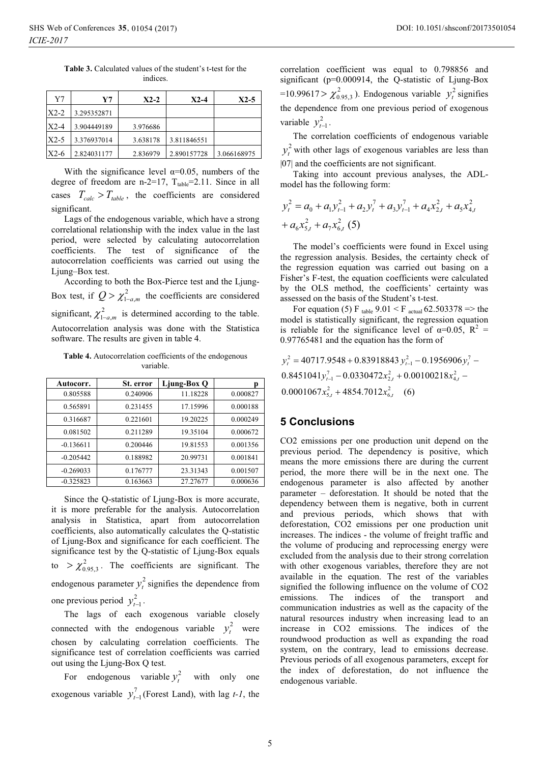| Y7     | Y7          | $X2-2$   | $X2-4$      | $X2-5$      |
|--------|-------------|----------|-------------|-------------|
| $X2-2$ | 3.295352871 |          |             |             |
| $X2-4$ | 3.904449189 | 3.976686 |             |             |
| $X2-5$ | 3.376937014 | 3.638178 | 3.811846551 |             |
| $X2-6$ | 2.824031177 | 2.836979 | 2.890157728 | 3.066168975 |

**Table 3.** Calculated values of the student's t-test for the indices.

With the significance level  $\alpha$ =0.05, numbers of the degree of freedom are n-2=17,  $T_{table}$ =2.11. Since in all cases  $T_{calc} > T_{table}$ , the coefficients are considered significant.

Lags of the endogenous variable, which have a strong correlational relationship with the index value in the last period, were selected by calculating autocorrelation coefficients. The test of significance of the autocorrelation coefficients was carried out using the Ljung–Box test.

According to both the Box-Pierce test and the Ljung-Box test, if  $Q > \chi^2_{1-a,m}$  the coefficients are considered significant,  $\chi^2_{1-a,m}$  is determined according to the table. Autocorrelation analysis was done with the Statistica software. The results are given in table 4.

**Table 4.** Autocorrelation coefficients of the endogenous variable.

| Autocorr.   | St. error | Ljung-Box Q |          |
|-------------|-----------|-------------|----------|
| 0.805588    | 0.240906  | 11.18228    | 0.000827 |
| 0.565891    | 0.231455  | 17.15996    | 0.000188 |
| 0.316687    | 0.221601  | 19.20225    | 0.000249 |
| 0.081502    | 0.211289  | 19.35104    | 0.000672 |
| $-0.136611$ | 0.200446  | 19.81553    | 0.001356 |
| $-0.205442$ | 0.188982  | 20.99731    | 0.001841 |
| $-0.269033$ | 0.176777  | 23.31343    | 0.001507 |
| $-0.325823$ | 0.163663  | 27.27677    | 0.000636 |

Since the Q-statistic of Ljung-Box is more accurate, it is more preferable for the analysis. Autocorrelation analysis in Statistica, apart from autocorrelation coefficients, also automatically calculates the Q-statistic of Ljung-Box and significance for each coefficient. The significance test by the Q-statistic of Ljung-Box equals to >  $\chi^{2}_{0.95.3}$ . The coefficients are significant. The endogenous parameter  $y_t^2$  signifies the dependence from one previous period  $y_{t-1}^2$ .

The lags of each exogenous variable closely connected with the endogenous variable  $y_t^2$  were chosen by calculating correlation coefficients. The significance test of correlation coefficients was carried out using the Ljung-Box Q test.

For endogenous variable  $y_t^2$  with only one exogenous variable  $y_{t-1}^7$  (Forest Land), with lag *t-1*, the correlation coefficient was equal to 0.798856 and significant (p=0.000914, the Q-statistic of Ljung-Box =10.99617 >  $\chi^{2}_{0.95,3}$ ). Endogenous variable  $y_t^2$  signifies the dependence from one previous period of exogenous variable  $y_{t-1}^2$ .

The correlation coefficients of endogenous variable  $y_t^2$  with other lags of exogenous variables are less than |07| and the coefficients are not significant.

Taking into account previous analyses, the ADLmodel has the following form:

$$
y_t^2 = a_0 + a_1 y_{t-1}^2 + a_2 y_t^7 + a_3 y_{t-1}^7 + a_4 x_{2,t}^2 + a_5 x_{4,t}^2
$$
  
+  $a_6 x_{5,t}^2 + a_7 x_{6,t}^2$  (5)

The model's coefficients were found in Excel using the regression analysis. Besides, the certainty check of the regression equation was carried out basing on a Fisher's F-test, the equation coefficients were calculated by the OLS method, the coefficients' certainty was assessed on the basis of the Student's t-test.

For equation (5) F table 9.01 < F actual 62.503378 => the model is statistically significant, the regression equation is reliable for the significance level of  $\alpha=0.05$ ,  $R^2 =$ 0.97765481 and the equation has the form of

 $0.0001067x_{5,t}^2 + 4854.7012x_{6,t}^2$  (6)  $0.8451041y_{t-1}^7 - 0.0330472x_{2,t}^2 + 0.00100218x_{4,t}^2$  $y_t^2 = 40717.9548 + 0.83918843 y_{t-1}^2 - 0.1956906 y_t^7$ 

## **5 Conclusions**

CO2 emissions per one production unit depend on the previous period. The dependency is positive, which means the more emissions there are during the current period, the more there will be in the next one. The endogenous parameter is also affected by another parameter – deforestation. It should be noted that the dependency between them is negative, both in current and previous periods, which shows that with deforestation, CO2 emissions per one production unit increases. The indices - the volume of freight traffic and the volume of producing and reprocessing energy were excluded from the analysis due to their strong correlation with other exogenous variables, therefore they are not available in the equation. The rest of the variables signified the following influence on the volume of CO2 emissions. The indices of the transport and communication industries as well as the capacity of the natural resources industry when increasing lead to an increase in CO2 emissions. The indices of the roundwood production as well as expanding the road system, on the contrary, lead to emissions decrease. Previous periods of all exogenous parameters, except for the index of deforestation, do not influence the endogenous variable.